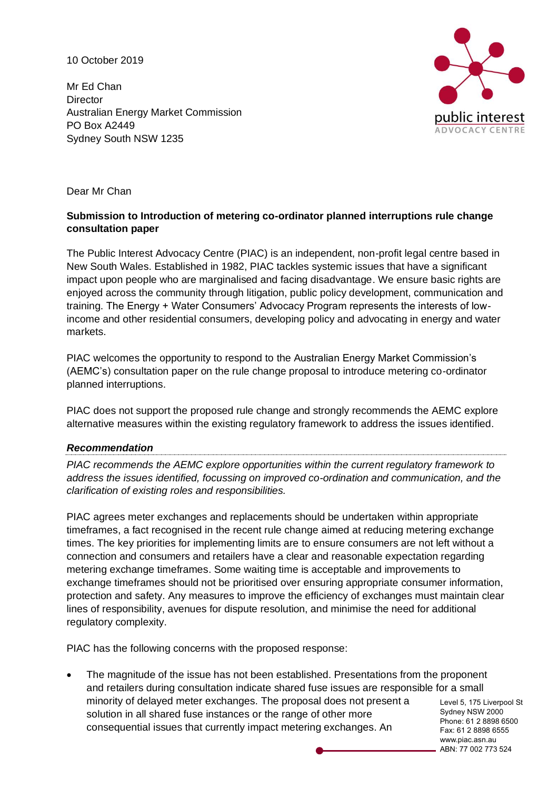10 October 2019

Mr Ed Chan **Director** Australian Energy Market Commission PO Box A2449 Sydney South NSW 1235



Dear Mr Chan

## **Submission to Introduction of metering co-ordinator planned interruptions rule change consultation paper**

The Public Interest Advocacy Centre (PIAC) is an independent, non-profit legal centre based in New South Wales. Established in 1982, PIAC tackles systemic issues that have a significant impact upon people who are marginalised and facing disadvantage. We ensure basic rights are enjoyed across the community through litigation, public policy development, communication and training. The Energy + Water Consumers' Advocacy Program represents the interests of lowincome and other residential consumers, developing policy and advocating in energy and water markets.

PIAC welcomes the opportunity to respond to the Australian Energy Market Commission's (AEMC's) consultation paper on the rule change proposal to introduce metering co-ordinator planned interruptions.

PIAC does not support the proposed rule change and strongly recommends the AEMC explore alternative measures within the existing regulatory framework to address the issues identified.

### *Recommendation*

*PIAC recommends the AEMC explore opportunities within the current regulatory framework to address the issues identified, focussing on improved co-ordination and communication, and the clarification of existing roles and responsibilities.* 

PIAC agrees meter exchanges and replacements should be undertaken within appropriate timeframes, a fact recognised in the recent rule change aimed at reducing metering exchange times. The key priorities for implementing limits are to ensure consumers are not left without a connection and consumers and retailers have a clear and reasonable expectation regarding metering exchange timeframes. Some waiting time is acceptable and improvements to exchange timeframes should not be prioritised over ensuring appropriate consumer information, protection and safety. Any measures to improve the efficiency of exchanges must maintain clear lines of responsibility, avenues for dispute resolution, and minimise the need for additional regulatory complexity.

PIAC has the following concerns with the proposed response:

• The magnitude of the issue has not been established. Presentations from the proponent and retailers during consultation indicate shared fuse issues are responsible for a small minority of delayed meter exchanges. The proposal does not present a solution in all shared fuse instances or the range of other more consequential issues that currently impact metering exchanges. An

Level 5, 175 Liverpool St Sydney NSW 2000 Phone: 61 2 8898 6500 Fax: 61 2 8898 6555 www.piac.asn.au ABN: 77 002 773 524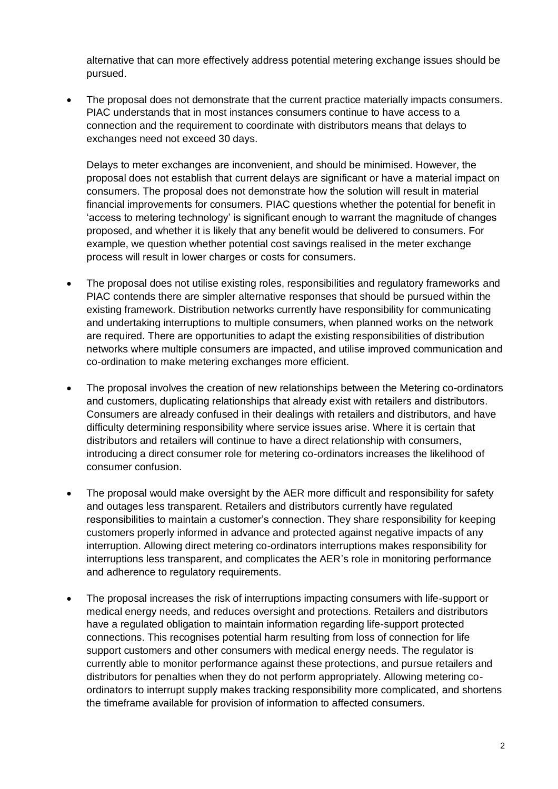alternative that can more effectively address potential metering exchange issues should be pursued.

• The proposal does not demonstrate that the current practice materially impacts consumers. PIAC understands that in most instances consumers continue to have access to a connection and the requirement to coordinate with distributors means that delays to exchanges need not exceed 30 days.

Delays to meter exchanges are inconvenient, and should be minimised. However, the proposal does not establish that current delays are significant or have a material impact on consumers. The proposal does not demonstrate how the solution will result in material financial improvements for consumers. PIAC questions whether the potential for benefit in 'access to metering technology' is significant enough to warrant the magnitude of changes proposed, and whether it is likely that any benefit would be delivered to consumers. For example, we question whether potential cost savings realised in the meter exchange process will result in lower charges or costs for consumers.

- The proposal does not utilise existing roles, responsibilities and regulatory frameworks and PIAC contends there are simpler alternative responses that should be pursued within the existing framework. Distribution networks currently have responsibility for communicating and undertaking interruptions to multiple consumers, when planned works on the network are required. There are opportunities to adapt the existing responsibilities of distribution networks where multiple consumers are impacted, and utilise improved communication and co-ordination to make metering exchanges more efficient.
- The proposal involves the creation of new relationships between the Metering co-ordinators and customers, duplicating relationships that already exist with retailers and distributors. Consumers are already confused in their dealings with retailers and distributors, and have difficulty determining responsibility where service issues arise. Where it is certain that distributors and retailers will continue to have a direct relationship with consumers, introducing a direct consumer role for metering co-ordinators increases the likelihood of consumer confusion.
- The proposal would make oversight by the AER more difficult and responsibility for safety and outages less transparent. Retailers and distributors currently have regulated responsibilities to maintain a customer's connection. They share responsibility for keeping customers properly informed in advance and protected against negative impacts of any interruption. Allowing direct metering co-ordinators interruptions makes responsibility for interruptions less transparent, and complicates the AER's role in monitoring performance and adherence to regulatory requirements.
- The proposal increases the risk of interruptions impacting consumers with life-support or medical energy needs, and reduces oversight and protections. Retailers and distributors have a regulated obligation to maintain information regarding life-support protected connections. This recognises potential harm resulting from loss of connection for life support customers and other consumers with medical energy needs. The regulator is currently able to monitor performance against these protections, and pursue retailers and distributors for penalties when they do not perform appropriately. Allowing metering coordinators to interrupt supply makes tracking responsibility more complicated, and shortens the timeframe available for provision of information to affected consumers.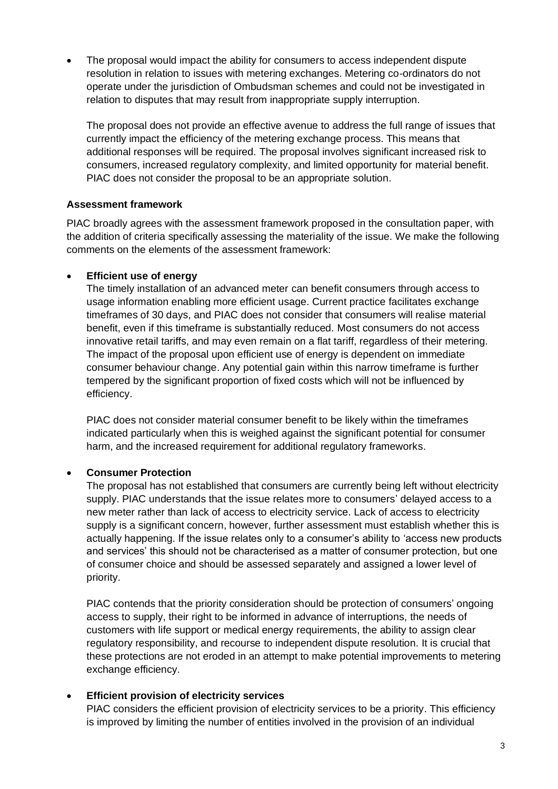• The proposal would impact the ability for consumers to access independent dispute resolution in relation to issues with metering exchanges. Metering co-ordinators do not operate under the jurisdiction of Ombudsman schemes and could not be investigated in relation to disputes that may result from inappropriate supply interruption.

The proposal does not provide an effective avenue to address the full range of issues that currently impact the efficiency of the metering exchange process. This means that additional responses will be required. The proposal involves significant increased risk to consumers, increased regulatory complexity, and limited opportunity for material benefit. PIAC does not consider the proposal to be an appropriate solution.

## **Assessment framework**

PIAC broadly agrees with the assessment framework proposed in the consultation paper, with the addition of criteria specifically assessing the materiality of the issue. We make the following comments on the elements of the assessment framework:

## • **Efficient use of energy**

The timely installation of an advanced meter can benefit consumers through access to usage information enabling more efficient usage. Current practice facilitates exchange timeframes of 30 days, and PIAC does not consider that consumers will realise material benefit, even if this timeframe is substantially reduced. Most consumers do not access innovative retail tariffs, and may even remain on a flat tariff, regardless of their metering. The impact of the proposal upon efficient use of energy is dependent on immediate consumer behaviour change. Any potential gain within this narrow timeframe is further tempered by the significant proportion of fixed costs which will not be influenced by efficiency.

PIAC does not consider material consumer benefit to be likely within the timeframes indicated particularly when this is weighed against the significant potential for consumer harm, and the increased requirement for additional requiatory frameworks.

## • **Consumer Protection**

The proposal has not established that consumers are currently being left without electricity supply. PIAC understands that the issue relates more to consumers' delayed access to a new meter rather than lack of access to electricity service. Lack of access to electricity supply is a significant concern, however, further assessment must establish whether this is actually happening. If the issue relates only to a consumer's ability to 'access new products and services' this should not be characterised as a matter of consumer protection, but one of consumer choice and should be assessed separately and assigned a lower level of priority.

PIAC contends that the priority consideration should be protection of consumers' ongoing access to supply, their right to be informed in advance of interruptions, the needs of customers with life support or medical energy requirements, the ability to assign clear regulatory responsibility, and recourse to independent dispute resolution. It is crucial that these protections are not eroded in an attempt to make potential improvements to metering exchange efficiency.

### • **Efficient provision of electricity services**

PIAC considers the efficient provision of electricity services to be a priority. This efficiency is improved by limiting the number of entities involved in the provision of an individual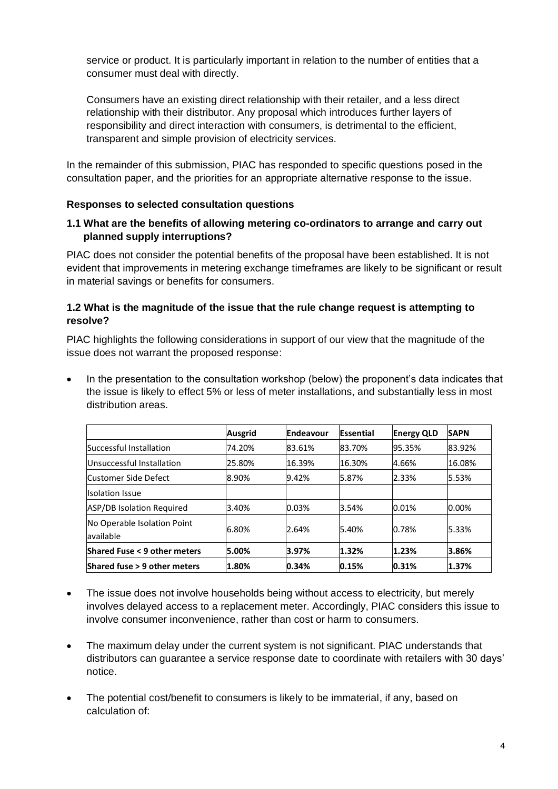service or product. It is particularly important in relation to the number of entities that a consumer must deal with directly.

Consumers have an existing direct relationship with their retailer, and a less direct relationship with their distributor. Any proposal which introduces further layers of responsibility and direct interaction with consumers, is detrimental to the efficient, transparent and simple provision of electricity services.

In the remainder of this submission, PIAC has responded to specific questions posed in the consultation paper, and the priorities for an appropriate alternative response to the issue.

## **Responses to selected consultation questions**

## **1.1 What are the benefits of allowing metering co-ordinators to arrange and carry out planned supply interruptions?**

PIAC does not consider the potential benefits of the proposal have been established. It is not evident that improvements in metering exchange timeframes are likely to be significant or result in material savings or benefits for consumers.

## **1.2 What is the magnitude of the issue that the rule change request is attempting to resolve?**

PIAC highlights the following considerations in support of our view that the magnitude of the issue does not warrant the proposed response:

• In the presentation to the consultation workshop (below) the proponent's data indicates that the issue is likely to effect 5% or less of meter installations, and substantially less in most distribution areas.

|                                           | <b>Ausgrid</b> | Endeavour | Essential | <b>Energy QLD</b> | <b>SAPN</b> |
|-------------------------------------------|----------------|-----------|-----------|-------------------|-------------|
| Successful Installation                   | 74.20%         | 83.61%    | 83.70%    | 95.35%            | 83.92%      |
| Unsuccessful Installation                 | 25.80%         | 16.39%    | 16.30%    | 4.66%             | 16.08%      |
| Customer Side Defect                      | 8.90%          | 9.42%     | 5.87%     | 2.33%             | 5.53%       |
| <b>Ilsolation Issue</b>                   |                |           |           |                   |             |
| ASP/DB Isolation Required                 | 3.40%          | 0.03%     | 3.54%     | 0.01%             | $0.00\%$    |
| No Operable Isolation Point<br>lavailable | 6.80%          | 2.64%     | 5.40%     | 0.78%             | 5.33%       |
| <b>Shared Fuse &lt; 9 other meters</b>    | 5.00%          | 3.97%     | 1.32%     | 1.23%             | 3.86%       |
| Shared fuse > 9 other meters              | 1.80%          | 0.34%     | 0.15%     | 0.31%             | 1.37%       |

- The issue does not involve households being without access to electricity, but merely involves delayed access to a replacement meter. Accordingly, PIAC considers this issue to involve consumer inconvenience, rather than cost or harm to consumers.
- The maximum delay under the current system is not significant. PIAC understands that distributors can guarantee a service response date to coordinate with retailers with 30 days' notice.
- The potential cost/benefit to consumers is likely to be immaterial, if any, based on calculation of: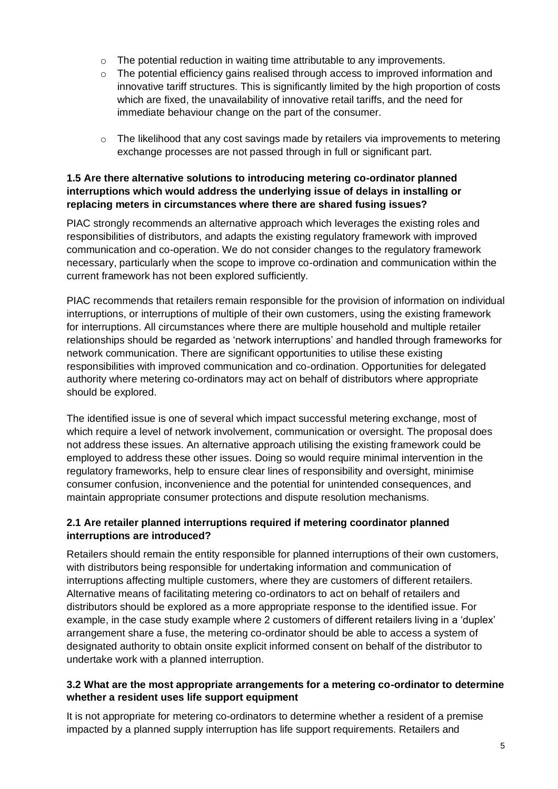- $\circ$  The potential reduction in waiting time attributable to any improvements.
- o The potential efficiency gains realised through access to improved information and innovative tariff structures. This is significantly limited by the high proportion of costs which are fixed, the unavailability of innovative retail tariffs, and the need for immediate behaviour change on the part of the consumer.
- $\circ$  The likelihood that any cost savings made by retailers via improvements to metering exchange processes are not passed through in full or significant part.

## **1.5 Are there alternative solutions to introducing metering co-ordinator planned interruptions which would address the underlying issue of delays in installing or replacing meters in circumstances where there are shared fusing issues?**

PIAC strongly recommends an alternative approach which leverages the existing roles and responsibilities of distributors, and adapts the existing regulatory framework with improved communication and co-operation. We do not consider changes to the regulatory framework necessary, particularly when the scope to improve co-ordination and communication within the current framework has not been explored sufficiently.

PIAC recommends that retailers remain responsible for the provision of information on individual interruptions, or interruptions of multiple of their own customers, using the existing framework for interruptions. All circumstances where there are multiple household and multiple retailer relationships should be regarded as 'network interruptions' and handled through frameworks for network communication. There are significant opportunities to utilise these existing responsibilities with improved communication and co-ordination. Opportunities for delegated authority where metering co-ordinators may act on behalf of distributors where appropriate should be explored.

The identified issue is one of several which impact successful metering exchange, most of which require a level of network involvement, communication or oversight. The proposal does not address these issues. An alternative approach utilising the existing framework could be employed to address these other issues. Doing so would require minimal intervention in the regulatory frameworks, help to ensure clear lines of responsibility and oversight, minimise consumer confusion, inconvenience and the potential for unintended consequences, and maintain appropriate consumer protections and dispute resolution mechanisms.

## **2.1 Are retailer planned interruptions required if metering coordinator planned interruptions are introduced?**

Retailers should remain the entity responsible for planned interruptions of their own customers, with distributors being responsible for undertaking information and communication of interruptions affecting multiple customers, where they are customers of different retailers. Alternative means of facilitating metering co-ordinators to act on behalf of retailers and distributors should be explored as a more appropriate response to the identified issue. For example, in the case study example where 2 customers of different retailers living in a 'duplex' arrangement share a fuse, the metering co-ordinator should be able to access a system of designated authority to obtain onsite explicit informed consent on behalf of the distributor to undertake work with a planned interruption.

## **3.2 What are the most appropriate arrangements for a metering co-ordinator to determine whether a resident uses life support equipment**

It is not appropriate for metering co-ordinators to determine whether a resident of a premise impacted by a planned supply interruption has life support requirements. Retailers and